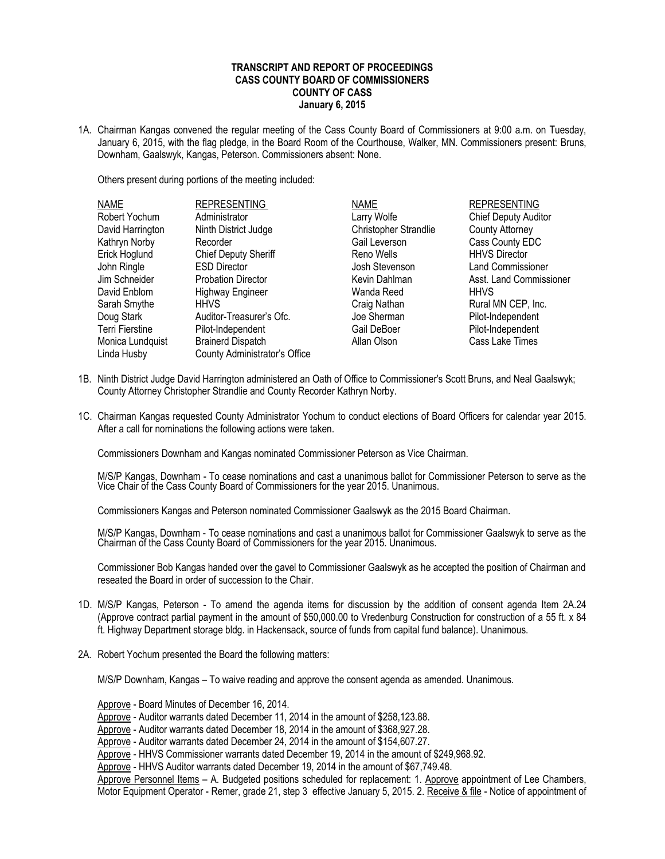## **TRANSCRIPT AND REPORT OF PROCEEDINGS CASS COUNTY BOARD OF COMMISSIONERS COUNTY OF CASS January 6, 2015**

1A. Chairman Kangas convened the regular meeting of the Cass County Board of Commissioners at 9:00 a.m. on Tuesday, January 6, 2015, with the flag pledge, in the Board Room of the Courthouse, Walker, MN. Commissioners present: Bruns, Downham, Gaalswyk, Kangas, Peterson. Commissioners absent: None.

Others present during portions of the meeting included:

| <b>NAME</b>      | <b>REPRESENTING</b>           | <b>NAME</b>                  | <b>REPRESENTING</b>         |
|------------------|-------------------------------|------------------------------|-----------------------------|
| Robert Yochum    | Administrator                 | Larry Wolfe                  | <b>Chief Deputy Auditor</b> |
| David Harrington | Ninth District Judge          | <b>Christopher Strandlie</b> | <b>County Attorney</b>      |
| Kathryn Norby    | Recorder                      | Gail Leverson                | Cass County EDC             |
| Erick Hoglund    | <b>Chief Deputy Sheriff</b>   | Reno Wells                   | <b>HHVS Director</b>        |
| John Ringle      | <b>ESD Director</b>           | Josh Stevenson               | Land Commissioner           |
| Jim Schneider    | <b>Probation Director</b>     | Kevin Dahlman                | Asst. Land Commissioner     |
| David Enblom     | <b>Highway Engineer</b>       | Wanda Reed                   | <b>HHVS</b>                 |
| Sarah Smythe     | <b>HHVS</b>                   | Craig Nathan                 | Rural MN CEP, Inc.          |
| Doug Stark       | Auditor-Treasurer's Ofc.      | Joe Sherman                  | Pilot-Independent           |
| Terri Fierstine  | Pilot-Independent             | Gail DeBoer                  | Pilot-Independent           |
| Monica Lundquist | <b>Brainerd Dispatch</b>      | Allan Olson                  | Cass Lake Times             |
| Linda Husby      | County Administrator's Office |                              |                             |

- 1B. Ninth District Judge David Harrington administered an Oath of Office to Commissioner's Scott Bruns, and Neal Gaalswyk; County Attorney Christopher Strandlie and County Recorder Kathryn Norby.
- 1C. Chairman Kangas requested County Administrator Yochum to conduct elections of Board Officers for calendar year 2015. After a call for nominations the following actions were taken.

Commissioners Downham and Kangas nominated Commissioner Peterson as Vice Chairman.

M/S/P Kangas, Downham - To cease nominations and cast a unanimous ballot for Commissioner Peterson to serve as the Vice Chair of the Cass County Board of Commissioners for the year 2015. Unanimous.

Commissioners Kangas and Peterson nominated Commissioner Gaalswyk as the 2015 Board Chairman.

M/S/P Kangas, Downham - To cease nominations and cast a unanimous ballot for Commissioner Gaalswyk to serve as the Chairman of the Cass County Board of Commissioners for the year 2015. Unanimous.

Commissioner Bob Kangas handed over the gavel to Commissioner Gaalswyk as he accepted the position of Chairman and reseated the Board in order of succession to the Chair.

- 1D. M/S/P Kangas, Peterson To amend the agenda items for discussion by the addition of consent agenda Item 2A.24 (Approve contract partial payment in the amount of \$50,000.00 to Vredenburg Construction for construction of a 55 ft. x 84 ft. Highway Department storage bldg. in Hackensack, source of funds from capital fund balance). Unanimous.
- 2A. Robert Yochum presented the Board the following matters:

M/S/P Downham, Kangas – To waive reading and approve the consent agenda as amended. Unanimous.

Approve - Board Minutes of December 16, 2014.

Approve - Auditor warrants dated December 11, 2014 in the amount of \$258,123.88.

Approve - Auditor warrants dated December 18, 2014 in the amount of \$368,927.28.

Approve - Auditor warrants dated December 24, 2014 in the amount of \$154,607.27.

Approve - HHVS Commissioner warrants dated December 19, 2014 in the amount of \$249,968.92.

Approve - HHVS Auditor warrants dated December 19, 2014 in the amount of \$67,749.48.

Approve Personnel Items – A. Budgeted positions scheduled for replacement: 1. Approve appointment of Lee Chambers, Motor Equipment Operator - Remer, grade 21, step 3 effective January 5, 2015. 2. Receive & file - Notice of appointment of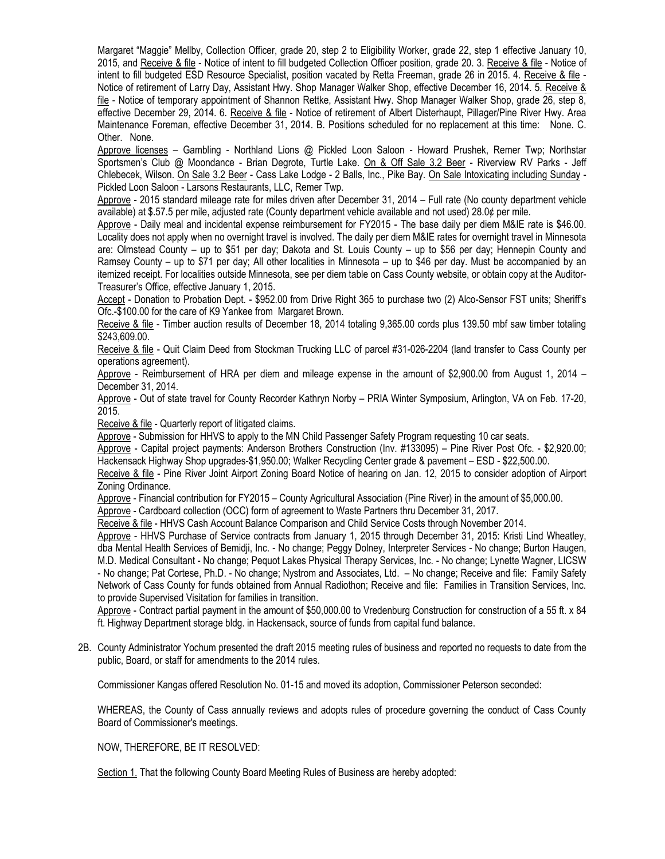Margaret "Maggie" Mellby, Collection Officer, grade 20, step 2 to Eligibility Worker, grade 22, step 1 effective January 10, 2015, and Receive & file - Notice of intent to fill budgeted Collection Officer position, grade 20. 3. Receive & file - Notice of intent to fill budgeted ESD Resource Specialist, position vacated by Retta Freeman, grade 26 in 2015. 4. Receive & file -Notice of retirement of Larry Day, Assistant Hwy. Shop Manager Walker Shop, effective December 16, 2014. 5. Receive & file - Notice of temporary appointment of Shannon Rettke, Assistant Hwy. Shop Manager Walker Shop, grade 26, step 8, effective December 29, 2014. 6. Receive & file - Notice of retirement of Albert Disterhaupt, Pillager/Pine River Hwy. Area Maintenance Foreman, effective December 31, 2014. B. Positions scheduled for no replacement at this time: None. C. Other. None.

Approve licenses – Gambling - Northland Lions @ Pickled Loon Saloon - Howard Prushek, Remer Twp; Northstar Sportsmen's Club @ Moondance - Brian Degrote, Turtle Lake. On & Off Sale 3.2 Beer - Riverview RV Parks - Jeff Chlebecek, Wilson. On Sale 3.2 Beer - Cass Lake Lodge - 2 Balls, Inc., Pike Bay. On Sale Intoxicating including Sunday - Pickled Loon Saloon - Larsons Restaurants, LLC, Remer Twp.

Approve - 2015 standard mileage rate for miles driven after December 31, 2014 – Full rate (No county department vehicle available) at \$.57.5 per mile, adjusted rate (County department vehicle available and not used) 28.0¢ per mile.

Approve - Daily meal and incidental expense reimbursement for FY2015 - The base daily per diem M&IE rate is \$46.00. Locality does not apply when no overnight travel is involved. The daily per diem M&IE rates for overnight travel in Minnesota are: Olmstead County – up to \$51 per day; Dakota and St. Louis County – up to \$56 per day; Hennepin County and Ramsey County – up to \$71 per day; All other localities in Minnesota – up to \$46 per day. Must be accompanied by an itemized receipt. For localities outside Minnesota, see per diem table on Cass County website, or obtain copy at the Auditor-Treasurer's Office, effective January 1, 2015.

Accept - Donation to Probation Dept. - \$952.00 from Drive Right 365 to purchase two (2) Alco-Sensor FST units; Sheriff's Ofc.-\$100.00 for the care of K9 Yankee from Margaret Brown.

Receive & file - Timber auction results of December 18, 2014 totaling 9,365.00 cords plus 139.50 mbf saw timber totaling \$243,609.00.

Receive & file - Quit Claim Deed from Stockman Trucking LLC of parcel #31-026-2204 (land transfer to Cass County per operations agreement).

Approve - Reimbursement of HRA per diem and mileage expense in the amount of \$2,900.00 from August 1, 2014 – December 31, 2014.

Approve - Out of state travel for County Recorder Kathryn Norby – PRIA Winter Symposium, Arlington, VA on Feb. 17-20, 2015.

Receive & file - Quarterly report of litigated claims.

Approve - Submission for HHVS to apply to the MN Child Passenger Safety Program requesting 10 car seats.

Approve - Capital project payments: Anderson Brothers Construction (Inv. #133095) – Pine River Post Ofc. - \$2,920.00; Hackensack Highway Shop upgrades-\$1,950.00; Walker Recycling Center grade & pavement – ESD - \$22,500.00.

Receive & file - Pine River Joint Airport Zoning Board Notice of hearing on Jan. 12, 2015 to consider adoption of Airport Zoning Ordinance.

Approve - Financial contribution for FY2015 – County Agricultural Association (Pine River) in the amount of \$5,000.00.

Approve - Cardboard collection (OCC) form of agreement to Waste Partners thru December 31, 2017.

Receive & file - HHVS Cash Account Balance Comparison and Child Service Costs through November 2014.

Approve - HHVS Purchase of Service contracts from January 1, 2015 through December 31, 2015: Kristi Lind Wheatley, dba Mental Health Services of Bemidji, Inc. - No change; Peggy Dolney, Interpreter Services - No change; Burton Haugen, M.D. Medical Consultant - No change; Pequot Lakes Physical Therapy Services, Inc. - No change; Lynette Wagner, LICSW - No change; Pat Cortese, Ph.D. - No change; Nystrom and Associates, Ltd. – No change; Receive and file: Family Safety Network of Cass County for funds obtained from Annual Radiothon; Receive and file: Families in Transition Services, Inc. to provide Supervised Visitation for families in transition.

Approve - Contract partial payment in the amount of \$50,000.00 to Vredenburg Construction for construction of a 55 ft. x 84 ft. Highway Department storage bldg. in Hackensack, source of funds from capital fund balance.

2B. County Administrator Yochum presented the draft 2015 meeting rules of business and reported no requests to date from the public, Board, or staff for amendments to the 2014 rules.

Commissioner Kangas offered Resolution No. 01-15 and moved its adoption, Commissioner Peterson seconded:

WHEREAS, the County of Cass annually reviews and adopts rules of procedure governing the conduct of Cass County Board of Commissioner's meetings.

NOW, THEREFORE, BE IT RESOLVED:

Section 1. That the following County Board Meeting Rules of Business are hereby adopted: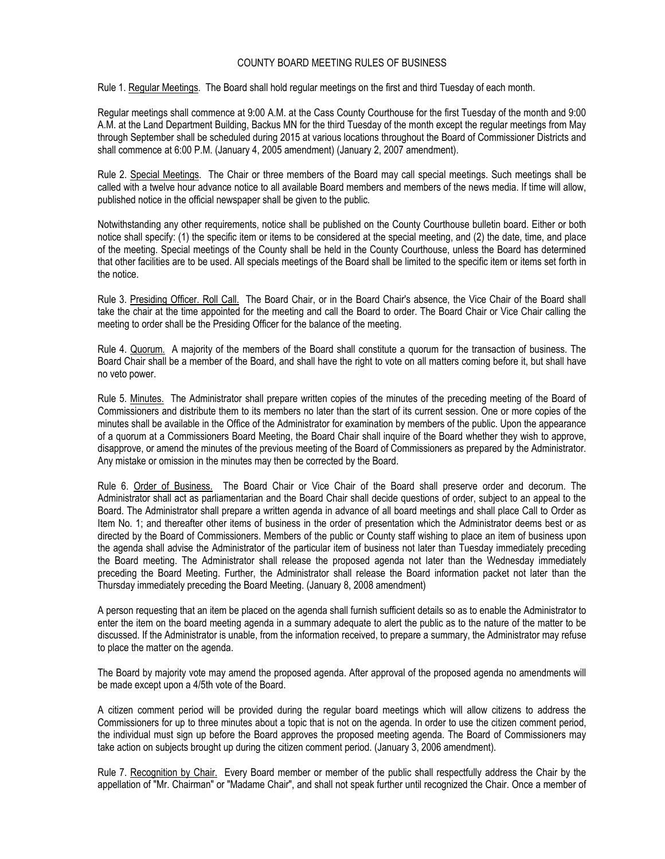## COUNTY BOARD MEETING RULES OF BUSINESS

Rule 1. Regular Meetings. The Board shall hold regular meetings on the first and third Tuesday of each month.

Regular meetings shall commence at 9:00 A.M. at the Cass County Courthouse for the first Tuesday of the month and 9:00 A.M. at the Land Department Building, Backus MN for the third Tuesday of the month except the regular meetings from May through September shall be scheduled during 2015 at various locations throughout the Board of Commissioner Districts and shall commence at 6:00 P.M. (January 4, 2005 amendment) (January 2, 2007 amendment).

Rule 2. Special Meetings. The Chair or three members of the Board may call special meetings. Such meetings shall be called with a twelve hour advance notice to all available Board members and members of the news media. If time will allow, published notice in the official newspaper shall be given to the public.

Notwithstanding any other requirements, notice shall be published on the County Courthouse bulletin board. Either or both notice shall specify: (1) the specific item or items to be considered at the special meeting, and (2) the date, time, and place of the meeting. Special meetings of the County shall be held in the County Courthouse, unless the Board has determined that other facilities are to be used. All specials meetings of the Board shall be limited to the specific item or items set forth in the notice.

Rule 3. Presiding Officer. Roll Call. The Board Chair, or in the Board Chair's absence, the Vice Chair of the Board shall take the chair at the time appointed for the meeting and call the Board to order. The Board Chair or Vice Chair calling the meeting to order shall be the Presiding Officer for the balance of the meeting.

Rule 4. Quorum. A majority of the members of the Board shall constitute a quorum for the transaction of business. The Board Chair shall be a member of the Board, and shall have the right to vote on all matters coming before it, but shall have no veto power.

Rule 5. Minutes. The Administrator shall prepare written copies of the minutes of the preceding meeting of the Board of Commissioners and distribute them to its members no later than the start of its current session. One or more copies of the minutes shall be available in the Office of the Administrator for examination by members of the public. Upon the appearance of a quorum at a Commissioners Board Meeting, the Board Chair shall inquire of the Board whether they wish to approve, disapprove, or amend the minutes of the previous meeting of the Board of Commissioners as prepared by the Administrator. Any mistake or omission in the minutes may then be corrected by the Board.

Rule 6. Order of Business. The Board Chair or Vice Chair of the Board shall preserve order and decorum. The Administrator shall act as parliamentarian and the Board Chair shall decide questions of order, subject to an appeal to the Board. The Administrator shall prepare a written agenda in advance of all board meetings and shall place Call to Order as Item No. 1; and thereafter other items of business in the order of presentation which the Administrator deems best or as directed by the Board of Commissioners. Members of the public or County staff wishing to place an item of business upon the agenda shall advise the Administrator of the particular item of business not later than Tuesday immediately preceding the Board meeting. The Administrator shall release the proposed agenda not later than the Wednesday immediately preceding the Board Meeting. Further, the Administrator shall release the Board information packet not later than the Thursday immediately preceding the Board Meeting. (January 8, 2008 amendment)

A person requesting that an item be placed on the agenda shall furnish sufficient details so as to enable the Administrator to enter the item on the board meeting agenda in a summary adequate to alert the public as to the nature of the matter to be discussed. If the Administrator is unable, from the information received, to prepare a summary, the Administrator may refuse to place the matter on the agenda.

The Board by majority vote may amend the proposed agenda. After approval of the proposed agenda no amendments will be made except upon a 4/5th vote of the Board.

A citizen comment period will be provided during the regular board meetings which will allow citizens to address the Commissioners for up to three minutes about a topic that is not on the agenda. In order to use the citizen comment period, the individual must sign up before the Board approves the proposed meeting agenda. The Board of Commissioners may take action on subjects brought up during the citizen comment period. (January 3, 2006 amendment).

Rule 7. Recognition by Chair. Every Board member or member of the public shall respectfully address the Chair by the appellation of "Mr. Chairman" or "Madame Chair", and shall not speak further until recognized the Chair. Once a member of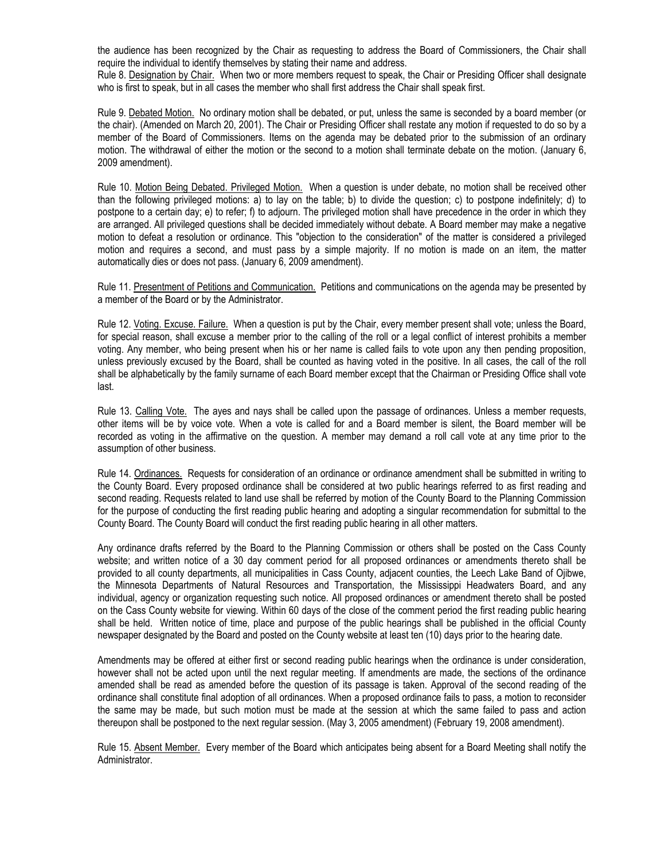the audience has been recognized by the Chair as requesting to address the Board of Commissioners, the Chair shall require the individual to identify themselves by stating their name and address.

Rule 8. Designation by Chair. When two or more members request to speak, the Chair or Presiding Officer shall designate who is first to speak, but in all cases the member who shall first address the Chair shall speak first.

Rule 9. Debated Motion. No ordinary motion shall be debated, or put, unless the same is seconded by a board member (or the chair). (Amended on March 20, 2001). The Chair or Presiding Officer shall restate any motion if requested to do so by a member of the Board of Commissioners. Items on the agenda may be debated prior to the submission of an ordinary motion. The withdrawal of either the motion or the second to a motion shall terminate debate on the motion. (January 6, 2009 amendment).

Rule 10. Motion Being Debated. Privileged Motion. When a question is under debate, no motion shall be received other than the following privileged motions: a) to lay on the table; b) to divide the question; c) to postpone indefinitely; d) to postpone to a certain day; e) to refer; f) to adjourn. The privileged motion shall have precedence in the order in which they are arranged. All privileged questions shall be decided immediately without debate. A Board member may make a negative motion to defeat a resolution or ordinance. This "objection to the consideration" of the matter is considered a privileged motion and requires a second, and must pass by a simple majority. If no motion is made on an item, the matter automatically dies or does not pass. (January 6, 2009 amendment).

Rule 11. Presentment of Petitions and Communication. Petitions and communications on the agenda may be presented by a member of the Board or by the Administrator.

Rule 12. Voting. Excuse. Failure. When a question is put by the Chair, every member present shall vote; unless the Board, for special reason, shall excuse a member prior to the calling of the roll or a legal conflict of interest prohibits a member voting. Any member, who being present when his or her name is called fails to vote upon any then pending proposition, unless previously excused by the Board, shall be counted as having voted in the positive. In all cases, the call of the roll shall be alphabetically by the family surname of each Board member except that the Chairman or Presiding Office shall vote last.

Rule 13. Calling Vote. The ayes and nays shall be called upon the passage of ordinances. Unless a member requests, other items will be by voice vote. When a vote is called for and a Board member is silent, the Board member will be recorded as voting in the affirmative on the question. A member may demand a roll call vote at any time prior to the assumption of other business.

Rule 14. Ordinances. Requests for consideration of an ordinance or ordinance amendment shall be submitted in writing to the County Board. Every proposed ordinance shall be considered at two public hearings referred to as first reading and second reading. Requests related to land use shall be referred by motion of the County Board to the Planning Commission for the purpose of conducting the first reading public hearing and adopting a singular recommendation for submittal to the County Board. The County Board will conduct the first reading public hearing in all other matters.

Any ordinance drafts referred by the Board to the Planning Commission or others shall be posted on the Cass County website; and written notice of a 30 day comment period for all proposed ordinances or amendments thereto shall be provided to all county departments, all municipalities in Cass County, adjacent counties, the Leech Lake Band of Ojibwe, the Minnesota Departments of Natural Resources and Transportation, the Mississippi Headwaters Board, and any individual, agency or organization requesting such notice. All proposed ordinances or amendment thereto shall be posted on the Cass County website for viewing. Within 60 days of the close of the comment period the first reading public hearing shall be held. Written notice of time, place and purpose of the public hearings shall be published in the official County newspaper designated by the Board and posted on the County website at least ten (10) days prior to the hearing date.

Amendments may be offered at either first or second reading public hearings when the ordinance is under consideration, however shall not be acted upon until the next regular meeting. If amendments are made, the sections of the ordinance amended shall be read as amended before the question of its passage is taken. Approval of the second reading of the ordinance shall constitute final adoption of all ordinances. When a proposed ordinance fails to pass, a motion to reconsider the same may be made, but such motion must be made at the session at which the same failed to pass and action thereupon shall be postponed to the next regular session. (May 3, 2005 amendment) (February 19, 2008 amendment).

Rule 15. Absent Member. Every member of the Board which anticipates being absent for a Board Meeting shall notify the Administrator.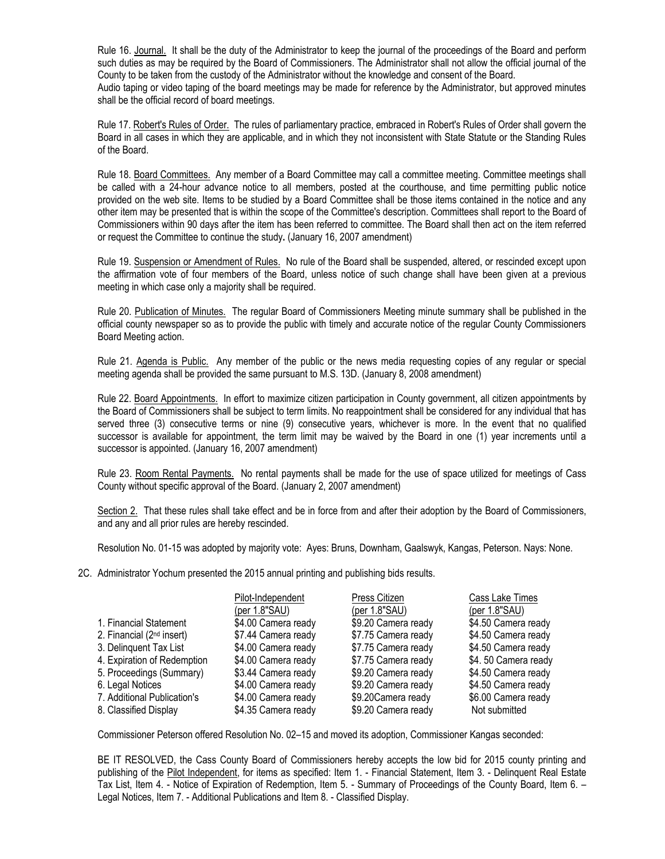Rule 16. Journal. It shall be the duty of the Administrator to keep the journal of the proceedings of the Board and perform such duties as may be required by the Board of Commissioners. The Administrator shall not allow the official journal of the County to be taken from the custody of the Administrator without the knowledge and consent of the Board. Audio taping or video taping of the board meetings may be made for reference by the Administrator, but approved minutes shall be the official record of board meetings.

Rule 17. Robert's Rules of Order. The rules of parliamentary practice, embraced in Robert's Rules of Order shall govern the Board in all cases in which they are applicable, and in which they not inconsistent with State Statute or the Standing Rules of the Board.

Rule 18. Board Committees. Any member of a Board Committee may call a committee meeting. Committee meetings shall be called with a 24-hour advance notice to all members, posted at the courthouse, and time permitting public notice provided on the web site. Items to be studied by a Board Committee shall be those items contained in the notice and any other item may be presented that is within the scope of the Committee's description. Committees shall report to the Board of Commissioners within 90 days after the item has been referred to committee. The Board shall then act on the item referred or request the Committee to continue the study**.** (January 16, 2007 amendment)

Rule 19. Suspension or Amendment of Rules. No rule of the Board shall be suspended, altered, or rescinded except upon the affirmation vote of four members of the Board, unless notice of such change shall have been given at a previous meeting in which case only a majority shall be required.

Rule 20. Publication of Minutes. The regular Board of Commissioners Meeting minute summary shall be published in the official county newspaper so as to provide the public with timely and accurate notice of the regular County Commissioners Board Meeting action.

Rule 21. Agenda is Public. Any member of the public or the news media requesting copies of any regular or special meeting agenda shall be provided the same pursuant to M.S. 13D. (January 8, 2008 amendment)

Rule 22. Board Appointments. In effort to maximize citizen participation in County government, all citizen appointments by the Board of Commissioners shall be subject to term limits. No reappointment shall be considered for any individual that has served three (3) consecutive terms or nine (9) consecutive years, whichever is more. In the event that no qualified successor is available for appointment, the term limit may be waived by the Board in one (1) year increments until a successor is appointed. (January 16, 2007 amendment)

Rule 23. Room Rental Payments. No rental payments shall be made for the use of space utilized for meetings of Cass County without specific approval of the Board. (January 2, 2007 amendment)

Section 2. That these rules shall take effect and be in force from and after their adoption by the Board of Commissioners, and any and all prior rules are hereby rescinded.

Resolution No. 01-15 was adopted by majority vote: Ayes: Bruns, Downham, Gaalswyk, Kangas, Peterson. Nays: None.

2C. Administrator Yochum presented the 2015 annual printing and publishing bids results.

|                                       | Pilot-Independent   | Press Citizen       | Cass Lake Times     |
|---------------------------------------|---------------------|---------------------|---------------------|
|                                       | (per 1.8"SAU)       | (per $1.8$ "SAU)    | (per 1.8"SAU)       |
| 1. Financial Statement                | \$4.00 Camera ready | \$9.20 Camera ready | \$4.50 Camera ready |
| 2. Financial (2 <sup>nd</sup> insert) | \$7.44 Camera ready | \$7.75 Camera ready | \$4.50 Camera ready |
| 3. Delinquent Tax List                | \$4.00 Camera ready | \$7.75 Camera ready | \$4.50 Camera ready |
| 4. Expiration of Redemption           | \$4.00 Camera ready | \$7.75 Camera ready | \$4.50 Camera ready |
| 5. Proceedings (Summary)              | \$3.44 Camera ready | \$9.20 Camera ready | \$4.50 Camera ready |
| 6. Legal Notices                      | \$4.00 Camera ready | \$9.20 Camera ready | \$4.50 Camera ready |
| 7. Additional Publication's           | \$4.00 Camera ready | \$9.20 Camera ready | \$6.00 Camera ready |
| 8. Classified Display                 | \$4.35 Camera ready | \$9.20 Camera ready | Not submitted       |

Commissioner Peterson offered Resolution No. 02–15 and moved its adoption, Commissioner Kangas seconded:

BE IT RESOLVED, the Cass County Board of Commissioners hereby accepts the low bid for 2015 county printing and publishing of the Pilot Independent, for items as specified: Item 1. - Financial Statement, Item 3. - Delinquent Real Estate Tax List, Item 4. - Notice of Expiration of Redemption, Item 5. - Summary of Proceedings of the County Board, Item 6. – Legal Notices, Item 7. - Additional Publications and Item 8. - Classified Display.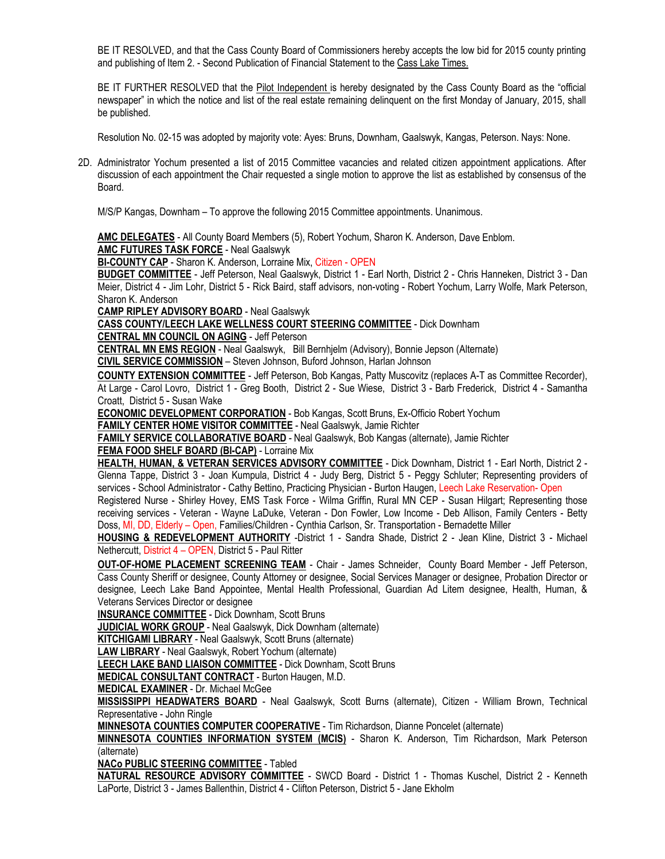BE IT RESOLVED, and that the Cass County Board of Commissioners hereby accepts the low bid for 2015 county printing and publishing of Item 2. - Second Publication of Financial Statement to the Cass Lake Times.

BE IT FURTHER RESOLVED that the Pilot Independent is hereby designated by the Cass County Board as the "official newspaper" in which the notice and list of the real estate remaining delinquent on the first Monday of January, 2015, shall be published.

Resolution No. 02-15 was adopted by majority vote: Ayes: Bruns, Downham, Gaalswyk, Kangas, Peterson. Nays: None.

2D. Administrator Yochum presented a list of 2015 Committee vacancies and related citizen appointment applications. After discussion of each appointment the Chair requested a single motion to approve the list as established by consensus of the Board.

M/S/P Kangas, Downham – To approve the following 2015 Committee appointments. Unanimous.

**AMC DELEGATES** - All County Board Members (5), Robert Yochum, Sharon K. Anderson, Dave Enblom. **AMC FUTURES TASK FORCE** - Neal Gaalswyk

**BI-COUNTY CAP** - Sharon K. Anderson, Lorraine Mix, Citizen - OPEN

**BUDGET COMMITTEE** - Jeff Peterson, Neal Gaalswyk, District 1 - Earl North, District 2 - Chris Hanneken, District 3 - Dan Meier, District 4 - Jim Lohr, District 5 - Rick Baird, staff advisors, non-voting - Robert Yochum, Larry Wolfe, Mark Peterson, Sharon K. Anderson

**CAMP RIPLEY ADVISORY BOARD** - Neal Gaalswyk

**CASS COUNTY/LEECH LAKE WELLNESS COURT STEERING COMMITTEE** - Dick Downham **CENTRAL MN COUNCIL ON AGING** - Jeff Peterson

**CENTRAL MN EMS REGION** - Neal Gaalswyk, Bill Bernhjelm (Advisory), Bonnie Jepson (Alternate)

**CIVIL SERVICE COMMISSION** – Steven Johnson, Buford Johnson, Harlan Johnson

**COUNTY EXTENSION COMMITTEE** - Jeff Peterson, Bob Kangas, Patty Muscovitz (replaces A-T as Committee Recorder), At Large - Carol Lovro, District 1 - Greg Booth, District 2 - Sue Wiese, District 3 - Barb Frederick, District 4 - Samantha Croatt, District 5 - Susan Wake

**ECONOMIC DEVELOPMENT CORPORATION** - Bob Kangas, Scott Bruns, Ex-Officio Robert Yochum

**FAMILY CENTER HOME VISITOR COMMITTEE** - Neal Gaalswyk, Jamie Richter

**FAMILY SERVICE COLLABORATIVE BOARD** - Neal Gaalswyk, Bob Kangas (alternate), Jamie Richter

## **FEMA FOOD SHELF BOARD (BI-CAP)** - Lorraine Mix

**HEALTH, HUMAN, & VETERAN SERVICES ADVISORY COMMITTEE** - Dick Downham, District 1 - Earl North, District 2 - Glenna Tappe, District 3 - Joan Kumpula, District 4 - Judy Berg, District 5 - Peggy Schluter; Representing providers of services - School Administrator - Cathy Bettino, Practicing Physician - Burton Haugen, Leech Lake Reservation- Open

Registered Nurse - Shirley Hovey, EMS Task Force - Wilma Griffin, Rural MN CEP - Susan Hilgart; Representing those receiving services - Veteran - Wayne LaDuke, Veteran - Don Fowler, Low Income - Deb Allison, Family Centers - Betty Doss, MI, DD, Elderly - Open, Families/Children - Cynthia Carlson, Sr. Transportation - Bernadette Miller

**HOUSING & REDEVELOPMENT AUTHORITY** -District 1 - Sandra Shade, District 2 - Jean Kline, District 3 - Michael Nethercutt, District 4 – OPEN, District 5 - Paul Ritter

**OUT-OF-HOME PLACEMENT SCREENING TEAM** - Chair - James Schneider, County Board Member - Jeff Peterson, Cass County Sheriff or designee, County Attorney or designee, Social Services Manager or designee, Probation Director or designee, Leech Lake Band Appointee, Mental Health Professional, Guardian Ad Litem designee, Health, Human, & Veterans Services Director or designee

**INSURANCE COMMITTEE** - Dick Downham, Scott Bruns

**JUDICIAL WORK GROUP** - Neal Gaalswyk, Dick Downham (alternate)

**KITCHIGAMI LIBRARY** - Neal Gaalswyk, Scott Bruns (alternate)

**LAW LIBRARY** - Neal Gaalswyk, Robert Yochum (alternate)

**LEECH LAKE BAND LIAISON COMMITTEE** - Dick Downham, Scott Bruns

**MEDICAL CONSULTANT CONTRACT** - Burton Haugen, M.D.

**MEDICAL EXAMINER** - Dr. Michael McGee

**MISSISSIPPI HEADWATERS BOARD** - Neal Gaalswyk, Scott Burns (alternate), Citizen - William Brown, Technical Representative - John Ringle

**MINNESOTA COUNTIES COMPUTER COOPERATIVE** - Tim Richardson, Dianne Poncelet (alternate)

**MINNESOTA COUNTIES INFORMATION SYSTEM (MCIS)** - Sharon K. Anderson, Tim Richardson, Mark Peterson (alternate)

**NACo PUBLIC STEERING COMMITTEE** - Tabled

**NATURAL RESOURCE ADVISORY COMMITTEE** - SWCD Board - District 1 - Thomas Kuschel, District 2 - Kenneth LaPorte, District 3 - James Ballenthin, District 4 - Clifton Peterson, District 5 - Jane Ekholm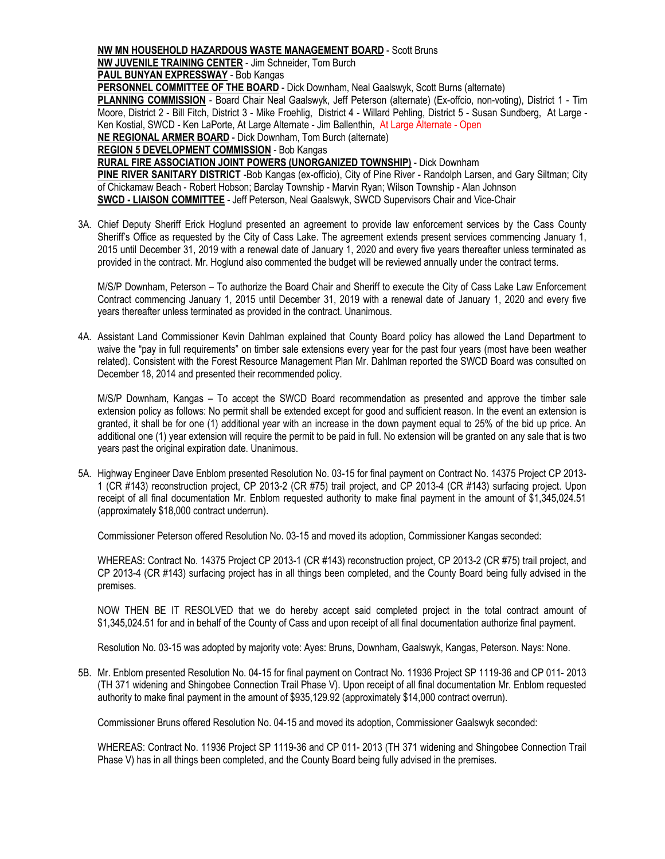## **NW MN HOUSEHOLD HAZARDOUS WASTE MANAGEMENT BOARD** - Scott Bruns

**NW JUVENILE TRAINING CENTER** - Jim Schneider, Tom Burch

**PAUL BUNYAN EXPRESSWAY** - Bob Kangas

**PERSONNEL COMMITTEE OF THE BOARD** - Dick Downham, Neal Gaalswyk, Scott Burns (alternate)

**PLANNING COMMISSION** - Board Chair Neal Gaalswyk, Jeff Peterson (alternate) (Ex-offcio, non-voting), District 1 - Tim Moore, District 2 - Bill Fitch, District 3 - Mike Froehlig, District 4 - Willard Pehling, District 5 - Susan Sundberg, At Large - Ken Kostial, SWCD - Ken LaPorte, At Large Alternate - Jim Ballenthin, At Large Alternate - Open

**NE REGIONAL ARMER BOARD** - Dick Downham, Tom Burch (alternate)

**REGION 5 DEVELOPMENT COMMISSION** - Bob Kangas

**RURAL FIRE ASSOCIATION JOINT POWERS (UNORGANIZED TOWNSHIP)** - Dick Downham

**PINE RIVER SANITARY DISTRICT** -Bob Kangas (ex-officio), City of Pine River - Randolph Larsen, and Gary Siltman; City of Chickamaw Beach - Robert Hobson; Barclay Township - Marvin Ryan; Wilson Township - Alan Johnson **SWCD - LIAISON COMMITTEE** - Jeff Peterson, Neal Gaalswyk, SWCD Supervisors Chair and Vice-Chair

3A. Chief Deputy Sheriff Erick Hoglund presented an agreement to provide law enforcement services by the Cass County Sheriff's Office as requested by the City of Cass Lake. The agreement extends present services commencing January 1, 2015 until December 31, 2019 with a renewal date of January 1, 2020 and every five years thereafter unless terminated as provided in the contract. Mr. Hoglund also commented the budget will be reviewed annually under the contract terms.

M/S/P Downham, Peterson – To authorize the Board Chair and Sheriff to execute the City of Cass Lake Law Enforcement Contract commencing January 1, 2015 until December 31, 2019 with a renewal date of January 1, 2020 and every five years thereafter unless terminated as provided in the contract. Unanimous.

4A. Assistant Land Commissioner Kevin Dahlman explained that County Board policy has allowed the Land Department to waive the "pay in full requirements" on timber sale extensions every year for the past four years (most have been weather related). Consistent with the Forest Resource Management Plan Mr. Dahlman reported the SWCD Board was consulted on December 18, 2014 and presented their recommended policy.

M/S/P Downham, Kangas – To accept the SWCD Board recommendation as presented and approve the timber sale extension policy as follows: No permit shall be extended except for good and sufficient reason. In the event an extension is granted, it shall be for one (1) additional year with an increase in the down payment equal to 25% of the bid up price. An additional one (1) year extension will require the permit to be paid in full. No extension will be granted on any sale that is two years past the original expiration date. Unanimous.

5A. Highway Engineer Dave Enblom presented Resolution No. 03-15 for final payment on Contract No. 14375 Project CP 2013- 1 (CR #143) reconstruction project, CP 2013-2 (CR #75) trail project, and CP 2013-4 (CR #143) surfacing project. Upon receipt of all final documentation Mr. Enblom requested authority to make final payment in the amount of \$1,345,024.51 (approximately \$18,000 contract underrun).

Commissioner Peterson offered Resolution No. 03-15 and moved its adoption, Commissioner Kangas seconded:

WHEREAS: Contract No. 14375 Project CP 2013-1 (CR #143) reconstruction project, CP 2013-2 (CR #75) trail project, and CP 2013-4 (CR #143) surfacing project has in all things been completed, and the County Board being fully advised in the premises.

NOW THEN BE IT RESOLVED that we do hereby accept said completed project in the total contract amount of \$1,345,024.51 for and in behalf of the County of Cass and upon receipt of all final documentation authorize final payment.

Resolution No. 03-15 was adopted by majority vote: Ayes: Bruns, Downham, Gaalswyk, Kangas, Peterson. Nays: None.

5B. Mr. Enblom presented Resolution No. 04-15 for final payment on Contract No. 11936 Project SP 1119-36 and CP 011- 2013 (TH 371 widening and Shingobee Connection Trail Phase V). Upon receipt of all final documentation Mr. Enblom requested authority to make final payment in the amount of \$935,129.92 (approximately \$14,000 contract overrun).

Commissioner Bruns offered Resolution No. 04-15 and moved its adoption, Commissioner Gaalswyk seconded:

WHEREAS: Contract No. 11936 Project SP 1119-36 and CP 011- 2013 (TH 371 widening and Shingobee Connection Trail Phase V) has in all things been completed, and the County Board being fully advised in the premises.